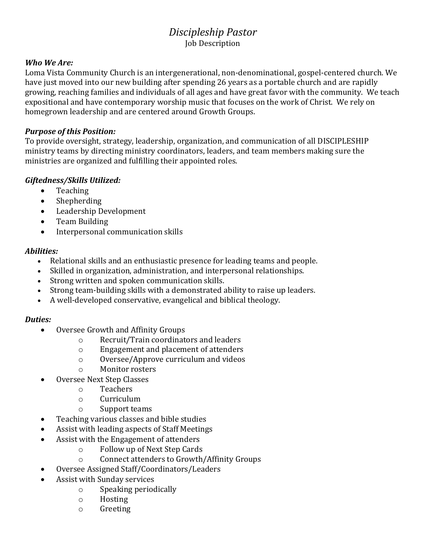# *Discipleship Pastor* Job Description

#### *Who We Are:*

Loma Vista Community Church is an intergenerational, non-denominational, gospel-centered church. We have just moved into our new building after spending 26 years as a portable church and are rapidly growing, reaching families and individuals of all ages and have great favor with the community. We teach expositional and have contemporary worship music that focuses on the work of Christ. We rely on homegrown leadership and are centered around Growth Groups.

#### *Purpose of this Position:*

To provide oversight, strategy, leadership, organization, and communication of all DISCIPLESHIP ministry teams by directing ministry coordinators, leaders, and team members making sure the ministries are organized and fulfilling their appointed roles.

## *Giftedness/Skills Utilized:*

- Teaching
- Shepherding
- Leadership Development
- Team Building
- Interpersonal communication skills

#### *Abilities:*

- Relational skills and an enthusiastic presence for leading teams and people.
- Skilled in organization, administration, and interpersonal relationships.
- Strong written and spoken communication skills.
- Strong team-building skills with a demonstrated ability to raise up leaders.
- A well-developed conservative, evangelical and biblical theology.

## *Duties:*

- Oversee Growth and Affinity Groups
	- o Recruit/Train coordinators and leaders
	- o Engagement and placement of attenders
	- o Oversee/Approve curriculum and videos
	- o Monitor rosters
- Oversee Next Step Classes
	- o Teachers
	- o Curriculum
	- o Support teams
- Teaching various classes and bible studies
- Assist with leading aspects of Staff Meetings
- Assist with the Engagement of attenders
	- o Follow up of Next Step Cards
	- o Connect attenders to Growth/Affinity Groups
- Oversee Assigned Staff/Coordinators/Leaders
- Assist with Sunday services
	- o Speaking periodically
	- o Hosting
	- o Greeting